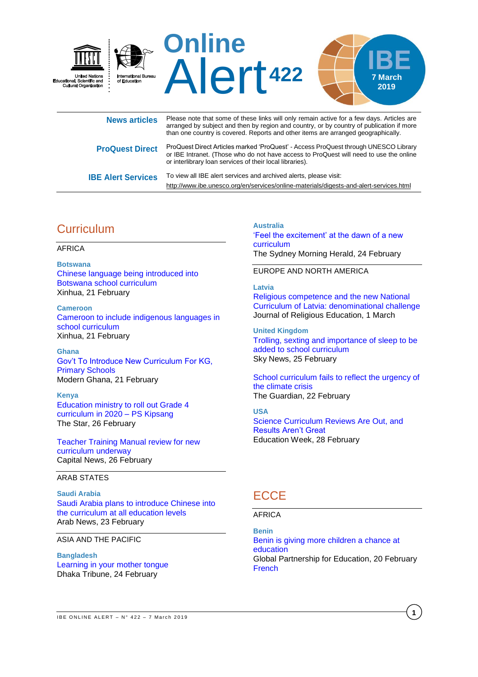

|                           | arranged by subject and then by region and country, or by country of publication if more<br>than one country is covered. Reports and other items are arranged geographically.                                                             |
|---------------------------|-------------------------------------------------------------------------------------------------------------------------------------------------------------------------------------------------------------------------------------------|
| <b>ProQuest Direct</b>    | ProQuest Direct Articles marked 'ProQuest' - Access ProQuest through UNESCO Library<br>or IBE Intranet. (Those who do not have access to ProQuest will need to use the online<br>or interlibrary loan services of their local libraries). |
| <b>IBE Alert Services</b> | To view all IBE alert services and archived alerts, please visit:<br>http://www.ibe.unesco.org/en/services/online-materials/digests-and-alert-services.html                                                                               |

# **Curriculum**

#### AFRICA

**Botswana**

[Chinese language being introduced into](http://www.xinhuanet.com/english/2019-02/22/c_137842316.htm)  [Botswana school curriculum](http://www.xinhuanet.com/english/2019-02/22/c_137842316.htm) Xinhua, 21 February

**Cameroon** [Cameroon to include indigenous languages in](http://www.xinhuanet.com/english/2019-02/22/c_137840860.htm)  [school curriculum](http://www.xinhuanet.com/english/2019-02/22/c_137840860.htm) Xinhua, 21 February

**Ghana** [Gov't To Introduce New Curriculum For KG,](https://www.modernghana.com/news/917284/govt-to-introduce-new-curriculum-for-kg-primary-schools.html)  [Primary Schools](https://www.modernghana.com/news/917284/govt-to-introduce-new-curriculum-for-kg-primary-schools.html) Modern Ghana, 21 February

**Kenya** [Education ministry to roll out Grade 4](https://www.the-star.co.ke/news/2019/02/26/education-ministry-to-roll-out-grade-4-curriculum-in-2020-ps-kipsang_c1900349)  [curriculum in 2020 –](https://www.the-star.co.ke/news/2019/02/26/education-ministry-to-roll-out-grade-4-curriculum-in-2020-ps-kipsang_c1900349) PS Kipsang The Star, 26 February

[Teacher Training Manual review for new](https://www.capitalfm.co.ke/news/2019/02/teacher-training-manual-review-for-new-curriculum-underway/)  [curriculum underway](https://www.capitalfm.co.ke/news/2019/02/teacher-training-manual-review-for-new-curriculum-underway/) Capital News, 26 February

#### ARAB STATES

**Saudi Arabia** [Saudi Arabia plans to introduce Chinese into](http://www.arabnews.com/node/1456466/saudi-arabia)  the [curriculum at all education levels](http://www.arabnews.com/node/1456466/saudi-arabia) Arab News, 23 February

ASIA AND THE PACIFIC

**Bangladesh** [Learning in your mother tongue](https://www.dhakatribune.com/special-supplement/2019/02/24/learning-in-your-mother-tongue) Dhaka Tribune, 24 February

**Australia** ['Feel the excitement' at the dawn of a new](https://www.smh.com.au/education/feel-the-excitement-at-the-dawn-of-a-new-curriculum-20190223-p50zra.html)  [curriculum](https://www.smh.com.au/education/feel-the-excitement-at-the-dawn-of-a-new-curriculum-20190223-p50zra.html) The Sydney Morning Herald, 24 February

#### EUROPE AND NORTH AMERICA

#### **Latvia**

[Religious competence and the new National](https://link.springer.com/article/10.1007/s40839-019-00077-3)  [Curriculum of Latvia: denominational challenge](https://link.springer.com/article/10.1007/s40839-019-00077-3)  Journal of Religious Education, 1 March

**United Kingdom** [Trolling, sexting and importance of sleep to be](https://news.sky.com/story/trolling-sexting-and-importance-of-sleep-to-be-added-to-school-curriculum-11647603)  [added to school curriculum](https://news.sky.com/story/trolling-sexting-and-importance-of-sleep-to-be-added-to-school-curriculum-11647603) Sky News, 25 February

[School curriculum fails to reflect the urgency of](https://www.theguardian.com/environment/2019/feb/22/school-curriculum-fails-to-reflect-the-urgency-of-the-climate-crisis)  [the climate crisis](https://www.theguardian.com/environment/2019/feb/22/school-curriculum-fails-to-reflect-the-urgency-of-the-climate-crisis) The Guardian, 22 February

**USA** [Science Curriculum Reviews Are Out, and](http://blogs.edweek.org/edweek/curriculum/2019/02/edreports_science_series_first_reviews.html)  [Results Aren't Great](http://blogs.edweek.org/edweek/curriculum/2019/02/edreports_science_series_first_reviews.html) Education Week, 28 February

### **ECCE**

#### AFRICA

**Benin** [Benin is giving more children a chance at](https://www.globalpartnership.org/blog/benin-giving-more-children-chance-education)  [education](https://www.globalpartnership.org/blog/benin-giving-more-children-chance-education) Global Partnership for Education, 20 February **[French](https://www.globalpartnership.org/fr/blog/le-benin-donne-davantage-denfants-lacces-leducation)** 

**1**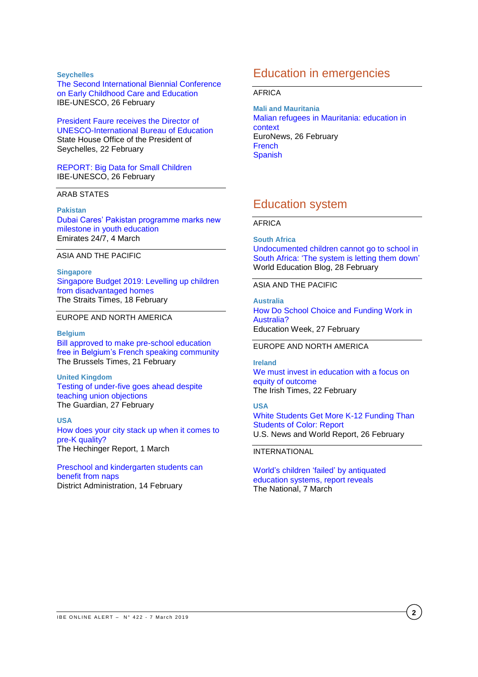#### **Seychelles**

[The Second International Biennial Conference](http://www.ibe.unesco.org/en/news/second-international-biennial-conference-early-childhood-care-and-education)  [on Early Childhood Care and Education](http://www.ibe.unesco.org/en/news/second-international-biennial-conference-early-childhood-care-and-education) IBE-UNESCO, 26 February

[President Faure receives the Director of](http://www.statehouse.gov.sc/news.php?news_id=4309)  [UNESCO-International Bureau of Education](http://www.statehouse.gov.sc/news.php?news_id=4309) State House Office of the President of Seychelles, 22 February

[REPORT: Big Data for Small Children](http://www.ibe.unesco.org/en/news/report-big-data-small-children) IBE-UNESCO, 26 February

#### ARAB STATES

**Pakistan**

[Dubai Cares' Pakistan programme marks new](https://www.emirates247.com/news/emirates/dubai-cares-pakistan-programme-marks-new-milestone-in-youth-education-2019-02-26-1.680216)  [milestone in youth education](https://www.emirates247.com/news/emirates/dubai-cares-pakistan-programme-marks-new-milestone-in-youth-education-2019-02-26-1.680216) Emirates 24/7, 4 March

### ASIA AND THE PACIFIC

**Singapore** [Singapore Budget 2019: Levelling up children](https://www.straitstimes.com/singapore/education/singapore-budget-2019-levelling-up-children-from-disadvantaged-homes)  [from disadvantaged homes](https://www.straitstimes.com/singapore/education/singapore-budget-2019-levelling-up-children-from-disadvantaged-homes) The Straits Times, 18 February

#### EUROPE AND NORTH AMERICA

#### **Belgium**

[Bill approved to make pre-school education](http://www.brusselstimes.com/belgium/education/14176/commission-approves-bill-to-make-pre-school-education-free-in-fwb)  [free in Belgium's French speaking community](http://www.brusselstimes.com/belgium/education/14176/commission-approves-bill-to-make-pre-school-education-free-in-fwb) The Brussels Times, 21 February

**United Kingdom** [Testing of under-five goes ahead despite](https://www.theguardian.com/education/2019/feb/27/testing-of-under-fives-goes-ahead-despite-teaching-union-objections)  [teaching union objections](https://www.theguardian.com/education/2019/feb/27/testing-of-under-fives-goes-ahead-despite-teaching-union-objections) The Guardian, 27 February

**USA** [How does your city stack up when it comes to](https://hechingerreport.org/how-does-your-city-stack-up-when-it-comes-to-pre-k-quality/)  [pre-K quality?](https://hechingerreport.org/how-does-your-city-stack-up-when-it-comes-to-pre-k-quality/) The Hechinger Report, 1 March

[Preschool and kindergarten students can](https://districtadministration.com/preschool-and-kindergarten-students-can-benefit-from-naps/)  [benefit from naps](https://districtadministration.com/preschool-and-kindergarten-students-can-benefit-from-naps/) District Administration, 14 February

### Education in emergencies

#### AFRICA

**Mali and Mauritania** [Malian refugees in Mauritania: education in](https://www.euronews.com/2019/02/21/malian-refugees-in-mauritania-education-in-an-emergency-context)  [context](https://www.euronews.com/2019/02/21/malian-refugees-in-mauritania-education-in-an-emergency-context) EuroNews, 26 February **[French](https://fr.euronews.com/2019/02/21/refugies-maliens-en-mauritanie-le-defi-de-l-ecole-en-contexte-d-urgence) [Spanish](https://es.euronews.com/2019/02/21/la-educacion-en-situaciones-de-emergencia-humanitaria)** 

### Education system

#### AFRICA

**South Africa**

[Undocumented children cannot go to school in](https://gemreportunesco.wordpress.com/2019/02/28/undocumented-children-cannot-go-to-school-in-south-africa-the-system-is-letting-them-down/)  [South Africa: 'The system is letting them down'](https://gemreportunesco.wordpress.com/2019/02/28/undocumented-children-cannot-go-to-school-in-south-africa-the-system-is-letting-them-down/) World Education Blog, 28 February

#### ASIA AND THE PACIFIC

**Australia** [How Do School Choice and Funding Work in](http://blogs.edweek.org/edweek/rick_hess_straight_up/2019/02/how_do_school_choice_and_funding_work_in_australia.html)  [Australia?](http://blogs.edweek.org/edweek/rick_hess_straight_up/2019/02/how_do_school_choice_and_funding_work_in_australia.html) Education Week, 27 February

#### EUROPE AND NORTH AMERICA

**Ireland** [We must invest in education with a focus on](https://www.irishtimes.com/opinion/we-must-invest-in-education-with-a-focus-on-equity-of-outcome-1.3801931)  [equity of outcome](https://www.irishtimes.com/opinion/we-must-invest-in-education-with-a-focus-on-equity-of-outcome-1.3801931) The Irish Times, 22 February

#### **USA**

[White Students Get More K-12 Funding Than](https://www.usnews.com/news/education-news/articles/2019-02-26/white-students-get-more-k-12-funding-than-students-of-color-report)  [Students of Color: Report](https://www.usnews.com/news/education-news/articles/2019-02-26/white-students-get-more-k-12-funding-than-students-of-color-report) U.S. News and World Report, 26 February

#### INTERNATIONAL

[World's children 'failed'](https://www.thenational.ae/uae/education/world-s-children-failed-by-antiquated-education-systems-report-reveals-1.833902) by antiquated [education systems, report reveals](https://www.thenational.ae/uae/education/world-s-children-failed-by-antiquated-education-systems-report-reveals-1.833902) The National, 7 March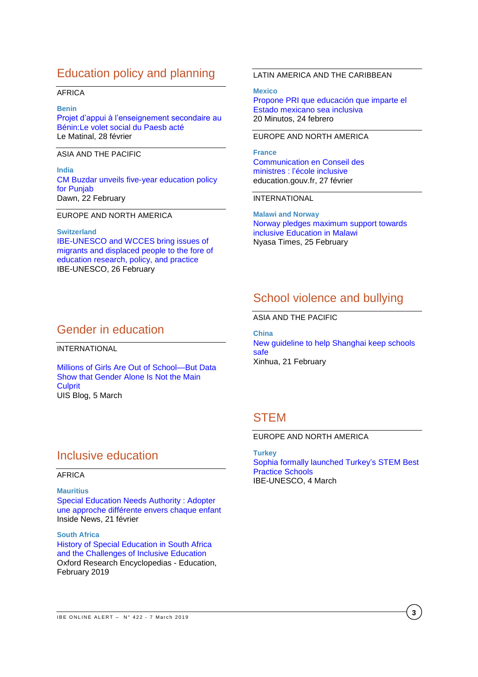# Education policy and planning

#### AFRICA

#### **Benin**

[Projet d'appui à l'enseignement secondaire au](http://quotidien-lematinal.info/projet-dappui-a-lenseignement-secondaire-au-beninle-volet-social-du-paesb-acte/)  [Bénin:Le volet social du Paesb acté](http://quotidien-lematinal.info/projet-dappui-a-lenseignement-secondaire-au-beninle-volet-social-du-paesb-acte/) Le Matinal, 28 février

ASIA AND THE PACIFIC

**India** [CM Buzdar unveils five-year education policy](https://www.dawn.com/news/1465295)  [for Punjab](https://www.dawn.com/news/1465295) Dawn, 22 February

#### EUROPE AND NORTH AMERICA

**Switzerland** [IBE-UNESCO and WCCES bring issues of](http://www.ibe.unesco.org/en/news/ibe-unesco-and-wcces-bring-issues-migrants-and-displaced-people-fore-education-research-policy)  [migrants and displaced people to the fore of](http://www.ibe.unesco.org/en/news/ibe-unesco-and-wcces-bring-issues-migrants-and-displaced-people-fore-education-research-policy)  [education research, policy, and practice](http://www.ibe.unesco.org/en/news/ibe-unesco-and-wcces-bring-issues-migrants-and-displaced-people-fore-education-research-policy) IBE-UNESCO, 26 February

#### LATIN AMERICA AND THE CARIBBEAN

**Mexico** [Propone PRI que educación que imparte el](https://www.20minutos.com.mx/noticia/484570/0/propone-pri-que-educacion-que-imparte-el-estado-mexicano-sea-inclusiva/)  [Estado mexicano sea inclusiva](https://www.20minutos.com.mx/noticia/484570/0/propone-pri-que-educacion-que-imparte-el-estado-mexicano-sea-inclusiva/) 20 Minutos, 24 febrero

#### EUROPE AND NORTH AMERICA

**France** [Communication](https://www.education.gouv.fr/cid139401/communication-en-conseil-des-ministres-l-ecole-inclusive.html) en Conseil des ministres : [l'école inclusive](https://www.education.gouv.fr/cid139401/communication-en-conseil-des-ministres-l-ecole-inclusive.html) education.gouv.fr, 27 février

INTERNATIONAL

**Malawi and Norway** [Norway pledges maximum support towards](https://www.nyasatimes.com/norway-pledges-maximum-support-towards-inclusive-education-in-malawi/)  [inclusive Education in Malawi](https://www.nyasatimes.com/norway-pledges-maximum-support-towards-inclusive-education-in-malawi/) Nyasa Times, 25 February

# School violence and bullying

#### ASIA AND THE PACIFIC

**China** [New guideline to help Shanghai keep schools](http://www.xinhuanet.com/english/2019-02/21/c_137839612.htm)  [safe](http://www.xinhuanet.com/english/2019-02/21/c_137839612.htm) Xinhua, 21 February

## **STEM**

### EUROPE AND NORTH AMERICA

**Turkey** [Sophia formally launched Turkey's STEM Best](http://www.ibe.unesco.org/en/news/sophia-formally-launched-turkey%E2%80%99s-stem-best-practice-schools)  [Practice Schools](http://www.ibe.unesco.org/en/news/sophia-formally-launched-turkey%E2%80%99s-stem-best-practice-schools) IBE-UNESCO, 4 March

### Gender in education

INTERNATIONAL

Millions [of Girls Are Out of School—But Data](https://sdg.uis.unesco.org/2019/03/05/millions-of-girls-are-out-of-school-but-data-show-that-gender-alone-is-not-the-main-culprit/)  [Show that Gender Alone Is Not the Main](https://sdg.uis.unesco.org/2019/03/05/millions-of-girls-are-out-of-school-but-data-show-that-gender-alone-is-not-the-main-culprit/)  **[Culprit](https://sdg.uis.unesco.org/2019/03/05/millions-of-girls-are-out-of-school-but-data-show-that-gender-alone-is-not-the-main-culprit/)** UIS Blog, 5 March

# Inclusive education

#### AFRICA

**Mauritius** [Special Education Needs Authority](https://www.inside.news/special-education-needs-authority-adopter-une-approche-differente-envers-chaque-enfant/) : Adopter [une approche différente envers chaque enfant](https://www.inside.news/special-education-needs-authority-adopter-une-approche-differente-envers-chaque-enfant/) Inside News, 21 février

**South Africa** History [of Special Education in South Africa](http://oxfordre.com/education/view/10.1093/acrefore/9780190264093.001.0001/acrefore-9780190264093-e-434)  [and the Challenges of Inclusive Education](http://oxfordre.com/education/view/10.1093/acrefore/9780190264093.001.0001/acrefore-9780190264093-e-434) Oxford Research Encyclopedias - Education, February 2019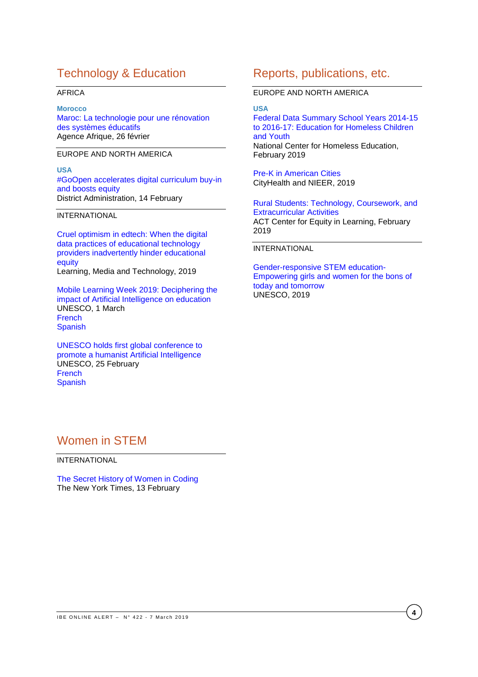## Technology & Education

#### AFRICA

**Morocco** [Maroc: La technologie pour une rénovation](http://www.agenceafrique.com/15003-maroc-la-technologie-pour-une-renovation-des-systemes-educatifs.html)  [des systèmes éducatifs](http://www.agenceafrique.com/15003-maroc-la-technologie-pour-une-renovation-des-systemes-educatifs.html) Agence Afrique, 26 février

EUROPE AND NORTH AMERICA

**USA** [#GoOpen accelerates digital curriculum buy-in](https://districtadministration.com/goopen-accelerates-digital-curriculum-buy-in-and-boosts-equity/)  [and boosts equity](https://districtadministration.com/goopen-accelerates-digital-curriculum-buy-in-and-boosts-equity/) District Administration, 14 February

#### INTERNATIONAL

[Cruel optimism in edtech: When the digital](https://osf.io/preprints/socarxiv/drbhn/)  [data practices of educational technology](https://osf.io/preprints/socarxiv/drbhn/)  [providers inadvertently hinder educational](https://osf.io/preprints/socarxiv/drbhn/)  [equity](https://osf.io/preprints/socarxiv/drbhn/) Learning, Media and Technology, 2019

[Mobile Learning Week 2019: Deciphering the](https://en.unesco.org/news/mobile-learning-week-2019-deciphering-impact-artificial-intelligence-education)  [impact of Artificial Intelligence on education](https://en.unesco.org/news/mobile-learning-week-2019-deciphering-impact-artificial-intelligence-education) UNESCO, 1 March [French](https://fr.unesco.org/news/semaine-lapprentissage-mobile-lunesco-2019-decrypter-limpact-lintelligence-artificielle) **[Spanish](https://es.unesco.org/news/semana-del-aprendizaje-movil-2019-unesco-descifrar-incidencia-inteligencia-artificial-educacion)** 

[UNESCO holds first global conference to](https://en.unesco.org/news/unesco-holds-first-global-conference-promote-humanist-artificial-intelligence)  [promote a humanist Artificial Intelligence](https://en.unesco.org/news/unesco-holds-first-global-conference-promote-humanist-artificial-intelligence) UNESCO, 25 February [French](https://fr.unesco.org/news/conference-mondiale-lunesco-promotion-dune-approche-humaniste-lintelligence-artificielle) **[Spanish](https://es.unesco.org/news/unesco-celebra-primera-conferencia-mundial-promover-inteligencia-artificial-humanista)** 

### Reports, publications, etc.

EUROPE AND NORTH AMERICA

#### **USA**

[Federal Data Summary School Years 2014-15](https://nche.ed.gov/wp-content/uploads/2019/02/Federal-Data-Summary-SY-14.15-to-16.17-Final-Published-2.12.19.pdf)  [to 2016-17: Education for Homeless Children](https://nche.ed.gov/wp-content/uploads/2019/02/Federal-Data-Summary-SY-14.15-to-16.17-Final-Published-2.12.19.pdf)  [and Youth](https://nche.ed.gov/wp-content/uploads/2019/02/Federal-Data-Summary-SY-14.15-to-16.17-Final-Published-2.12.19.pdf) National Center for Homeless Education, [February 2019](http://nieer.org/wp-content/uploads/2019/01/Pre-K-Report-Final.pdf)

[Pre-K in American Cities](http://nieer.org/wp-content/uploads/2019/01/Pre-K-Report-Final.pdf) CityHealth and NIEER, 2019

[Rural Students: Technology, Coursework, and](https://equityinlearning.act.org/wp-content/themes/voltron/img/tech-briefs/rural-students.pdf)  [Extracurricular Activities](https://equityinlearning.act.org/wp-content/themes/voltron/img/tech-briefs/rural-students.pdf) ACT Center for Equity in Learning, February 2019

#### INTERNATIONAL

[Gender-responsive STEM education-](https://unesdoc.unesco.org/ark:/48223/pf0000366803)[Empowering girls and women for the bons of](https://unesdoc.unesco.org/ark:/48223/pf0000366803)  [today and tomorrow](https://unesdoc.unesco.org/ark:/48223/pf0000366803) UNESCO, 2019

## Women in STEM

INTERNATIONAL

[The Secret History of Women in Coding](https://www.nytimes.com/2019/02/13/magazine/women-coding-computer-programming.html?fbclid=IwAR0RSGVAQGJq1gQ2Y25Qc7GFscS8C7OJ-D7ryL3zbKR7chJgjIn4AimDfZA) The New York Times, 13 February